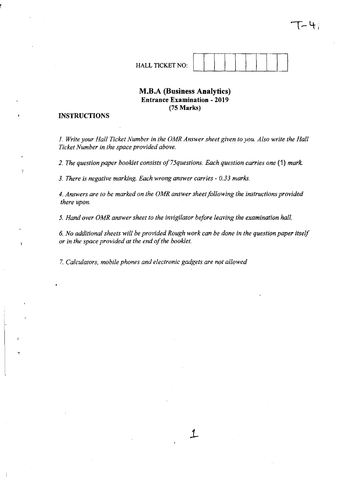HALL TICKET NO:

## **M.B.A (Business Analytics) Entrance Examination - 2019 (75 Marks)**

#### **INSTRUCTIONS**

 $\ddot{ }$ 

*1. Write your Hall Ticket Number in the OMR Answer sheet given to you. Also write the Hall Ticket Number in the space provided above.* 

*2. The question paper booklet consists of 75questions. Each question carries one* **(1)** *mark.* 

*3. There* is *negative marking. Each wrong answer carries* - *0.33 marks.* 

*4. Answers are to be marked on the OMR answer sheet following the instructions provided there upon.* 

*5. Hand over OMR answer sheet to the invigilator before leaving the examination hall.* 

*6. No additional sheets will be provided Rough work can be done in the question paper itself or* in *the space provided at the end of the booklet.* 

 $\mathcal{L}$ 

*7. Calculators, mobile phones and electronic gadgets are not allowed*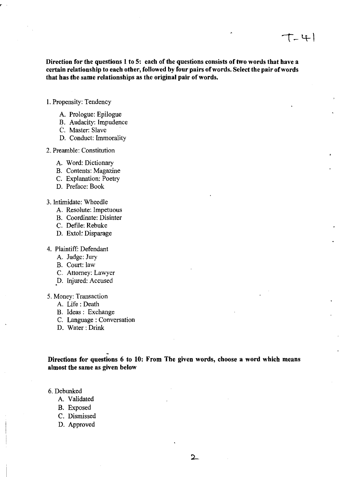Direction for the questions 1 to 5: each of the questions consists of two words that have a certain relationship to each other, followed by four pairs of words. Select the pair of words that has the same relationships as the original pair of words.

- 1. Propensity: Tendency
	- A. Prologue: Epilogue
	- B. Audacity: Impudence
	- C. Master: Slave
	- D. Conduct: Immorality
- 2. Preamble: Constitution
	- A. Word: Dictionary
	- B. Contents: Magazine
	- C. Explanation: Poetry
	- D. Preface: Book
- 3. Intimidate: Wheedle
	- A. Resolute: Impetuous
	- B. Coordinate: Disinter
	- C. Defile: Rebuke
	- D. Extol: Disparage
- 4. Plaintiff: Defendant
	- A. Judge: Jury
	- B. Court: law
	- C. Attorney: Lawyer
	- D. Injured: Accused
- 5. Money: Transaction
	- A. Life: Death
	- B. Ideas: Exchange
	- C. Language: Conversation
	- D. Water: Drink

Directions for questions 6 to 10: From The given words, choose a word which means almost the same as given below

6. Debunked

- A. Validated
- B. Exposed
- C. Dismissed
- D. Approved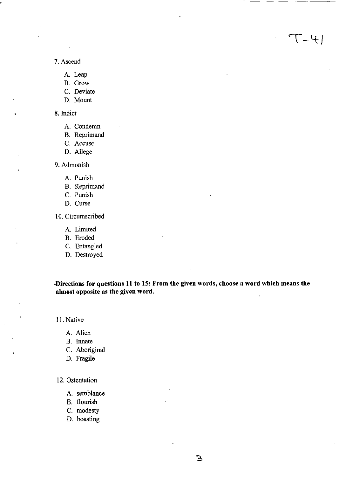7. Ascend

A. Leap

B. Grow

C. Deviate

D. Mount

8. Indict

A. Condemn

B. Reprimand

C. Accuse

D. Allege

9. Admonish

A. Punish

B. Reprimand

C. Punish

D. Curse

10. Circumscribed

A. Limited

B. Eroded

C. Entangled

D. Destroyed

**·Directions for questions 11 to 15: From the given words, choose a word which means the almost opposite as the given word.** 

 $7 - 4$ 

11. Native

A. Alien

B. Innate

C. Aboriginal

D. Fragile

12. Ostentation

A. semblance

B. flourish

C. modesty

D. boasting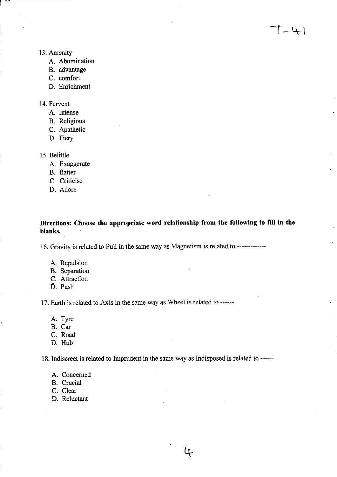- 13. Amenity
	- A. Abomination
	- B. advantage
	- C. comfort
	- D. Enrichment

### 14. Fervent

- A. Intense
- B. Religious
- C. Apathetic
- D. Fiery
- 15. Belittle
	- A. Exaggerate
	- B. flatter
	- C. Criticise
	- D. Adore

Directions: Choose the appropriate word relationship from the following to fill in the blanks.

16. Gravity is related to Pull in the same way as Magnetism is related to -------------

- A. Repulsion
- B. Separation
- C. Attraction
- D. Push

17. Earth is related to Axis in the same way as Wheel is related to ------

- A. Tyre
- B. Car
- C·. Road
- D. Hub

18. Indiscreet is related to Imprudent in the same way as Indisposed is related to ------

- A. Concerned
- B. Crucial
- C. Clear
- D. Reluctant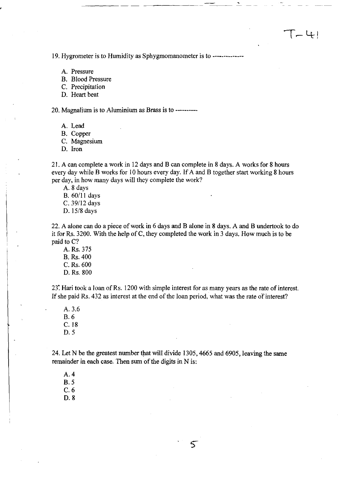19. Hygrometer is to Humidity as Sphygmomanometer is to --------------

- A. Pressure
- B. Blood Pressure
- C. Precipitation
- D. Heart beat

20. Magnalium is to Aluminium as Brass is to ----------

-----\_.-

- A. Lead
- B. Copper
- C. Magnesium
- D. Iron

21. A can complete a work in 12 days and B can complete in 8 days. A works for 8 hours every day while B works for 10 hours every day. If A and B together start working 8 hours per day, in how many days will they complete the work?

A. 8 days

- B. 60/11 days
- C. 39/12 days
- D. 15/8 days

22. A alone can do a piece of work in 6 days and B alone in 8 days. A and B undertook to do it for Rs. 3200. With the help of C, they completed the work in 3 days. How much is to be paid to C?

A. Rs. 375 B. Rs. 400 C.Rs.600 D. Rs. 800

23: Hari took a loan ofRs. 1200 with simple interest for as many years as the rate of interest. If she paid Rs. 432 as interest at the end of the loan period, what was the rate of interest?

A. 3.6 B.6 C.18 D.5

24. Let N be the greatest number that will divide 1305, 4665 and 6905, leaving the same remainder in each case. Then sum of the digits in N is:

A.4 B.5

C.6

D.8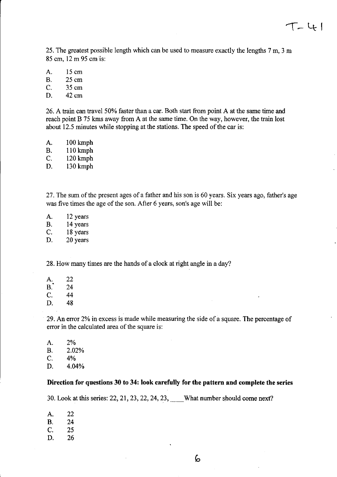25. The greatest possible length which can be used to measure exactly the lengths 7 m, 3 m 85 cm, 12 m 95 cmis:

A. 15 cm B. 25 cm C. 35 cm D. 42cm

26. A train can travel 50% faster than a car. Both start from point A at the same time and reach point B 75 kms away from A at the same time. On the way, however, the train lost about 12.5 minutes while stopping at the stations. The speed of the car is:

A. 100 kmph B. 110 kmph C. 120kmph

D. 130kmph

27. The sum of the present ages of a father and his son is 60 years. Six years ago, father's age was five times the age of the son. After 6 years, son's age will be:

A. 12 years B. 14 years C. 18 years D. 20 years

28. How many times are the hands of a clock at right angle in a day?

A. 22<br>B. 24<br>C. 44 C. 44 D. 48

29. An error 2% in excess is made while measuring the side of a square. The percentage of error in the calculated area of the square is:

| А. | 2%    |  |  |
|----|-------|--|--|
| В. | 2.02% |  |  |
| C. | 4%    |  |  |
| D. | 4.04% |  |  |

#### **Direction for questions 30 to 34: look carefully for the pattern and complete the series**

30. Look at this series: 22, 21, 23, 22, 24, 23, \_\_ What number should come next?

A. 22 B. 24 C. 25 D. 26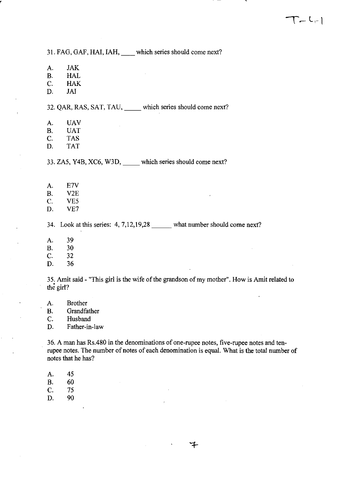31. FAG, GAF, HAl, IAH, \_\_ which series should come next?

A. JAK

r

B. HAL

C. HAK

D. JAI

32. QAR, RAS, SAT, TAU, \_\_ which series should come next?

A. UAV

B. UAT

C. TAS

D. TAT

33. ZA5, Y4B, XC6, W3D, which series should come next?

A. E7V

B. V2E

C. VES

D. VE7

34. Look at this series: **4,7,12,19,28** \_\_\_ what number should come next?

A. 39

B. 30

C. 32

D. 36

3S. Amit said - "This girl is the wife of the grandson of my mother". How is Amit related to the girl?

A. Brother

B. Grandfather

C. Husband

D. Father-in-law

36. A man has Rs.480 in the denominations of one-rupee notes, five-rupee notes and tenrupee notes. The number of notes of each denomination is equal. What is the total number of notes that he has?

∓

A. 4S

B. 60

C. 75

D. 90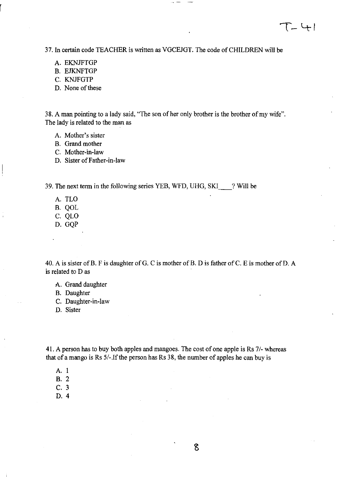37. In certain code TEACHER is written as VGCEJGT. The code of CHILDREN will be

- A. EKNJFTGP
- B. EJKNFTGP
- C. KNJFGTP
- D. None of these

38. A man pointing to a lady said, "The son of her only brother is the brother of my wife". The lady is related to the man as

- A. Mother's sister
- B. Grand mother
- C. Mother-in-law
- D. Sister of Father-in-law

39. The next term in the following series YEB, WFD, UHG, SKI \_\_ ? Will be

- A. TLO
- B. QOL
- C. QLO
- D. GQP

40. A is sister of B. F is daughter of G. C is mother of B. D is father of C. E is mother of D. A is related to D as

- A. Grand daughter
- B. Daughter
- C. Daughter-in-law
- D. Sister

41. A person has to buy both apples and mangoes. The cost of one apple is Rs 7/- whereas that of a mango is Rs  $5/-$ . If the person has Rs 38, the number of apples he can buy is

- A. 1
- B.2
- C. 3
- D. 4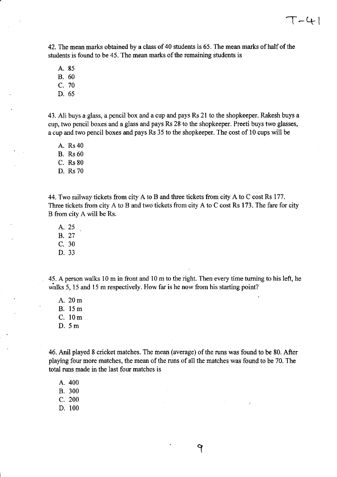42. The mean marks obtained by a class of 40 students is 65. The mean marks of half of the students is found to be 45. The mean marks of the remaining students is

A. 85

B. 60

C. 70

D. 65

43. Ali buys a glass, a pencil box and a cup and pays Rs 21 to the shopkeeper. Rakesh buys a cup, two pencil boxes and a glass and pays Rs 28 to the shopkeeper. Preeti buys two glasses, a cup and two pencil boxes and pays Rs 35 to the shopkeeper. The cost of 10 cups will be

A. Rs40

B. Rs60

C. Rs 80

D. Rs 70

44. Two railway tickets from city A to B and three tickets from city A to C cost Rs 177. Three tickets from city A to B and two tickets from city A to C cost Rs 173. The fare for city B from city A will be Rs.

A. 25

B. 27

C. 30

D. 33

45. A person walks 10m in front and 10m to the right. Then every time turning to his left, he walks 5, 15 and 15 m respectively. How far is he now from his starting point?

A.20m

B. 15m

C. 10m

D. 5m

46. Anil played 8 cricket matches. The mean (average) of the runs was found to be 80. After playing four more matches, the mean of the runs of all the matches was found to be 70. The total runs made in the last four matches is

9

A.400

B. 300

C. 200

D. 100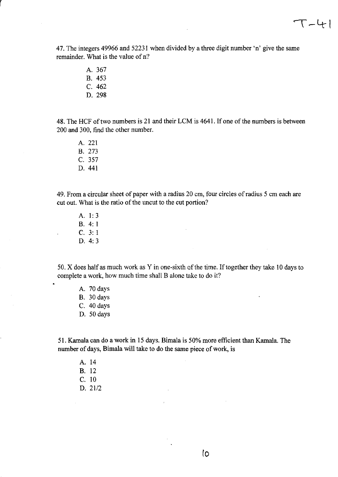$T - 41$ 

47. The integers 49966 and 52231 when divided by a three digit number 'n' give the same remainder. What is the value of n?

> A. 367 B. 453 C. 462

r

D. 298

48. The HCF of two numbers is 21 and their LCM is 4641. If one of the numbers is between 200 and 300, find the other number.

A. 221 B. 273 C. 357 D. 441

49. From a circular sheet of paper with a radius 20 cm, four circles of radius 5 cm each are cut out. What is the ratio of the uncut to the cut portion?

A. 1: 3 B. 4: 1 C. 3: 1 D. 4: 3

 $\ddot{\phantom{a}}$ 

50. X does half as much work as Y in one-sixth of the time. If together they take 10 days to complete a work, how much time shall B alone take to do it?

A. 70 days B. 30 days C. 40 days D. 50 days

51. Kamala can do a work in 15 days. Bimala is 50% more efficient than Kamala. The number of days, Bimala will take to do the same piece of work, is

A. 14 B. 12 C. 10 D. 21/2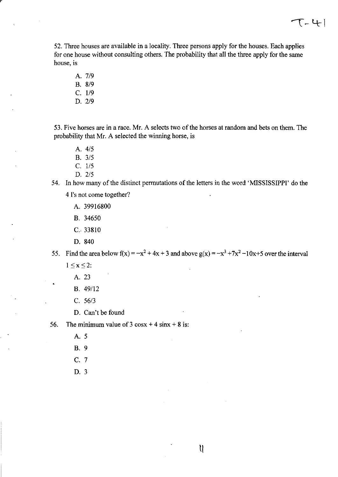52. Three houses are available in a locality. Three persons apply for the houses. Each applies for one house without consulting others. The probability that all the three apply for the same house, is

- A. 7/9 B. 8/9  $C. 1/9$
- D. 2/9

53. Five horses are in a race. Mr. A selects two of the horses at random and bets on them. The probability that Mr. A selected the winning horse, is

- A. *4/5*
- B. 3/5
- C. 1/5
- D. 2/5
- 54. In how many of the distinct permutations of the letters in the word 'MISSISSIPPI' do the
	- 4 I's not come together?
		- A. 39916800
		- B. 34650
		- C. 33810
		- D. 840
- 55. Find the area below  $f(x) = -x^2 + 4x + 3$  and above  $g(x) = -x^3 + 7x^2 10x + 5$  over the interval

 $\mathfrak{h}$ 

- $1 \leq x \leq 2$ :
	- A. 23
	- B. 49112
	- C. *56/3*
	- D. Can't be found
- 56. The minimum value of  $3 \cos x + 4 \sin x + 8$  is:
	- A.5
	- B.9
	- C. 7
	- D. 3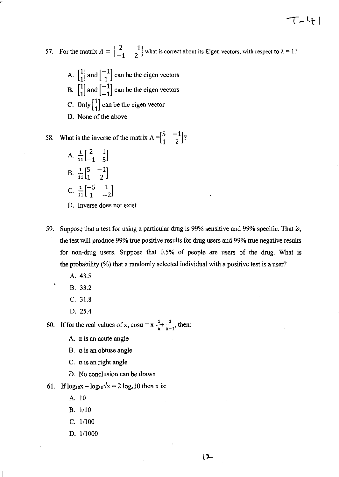57. For the matrix  $A = \begin{bmatrix} 2 & -1 \\ -1 & 2 \end{bmatrix}$  what is correct about its Eigen vectors, with respect to  $\lambda = 1$ ?

エーチー

- A.  $\begin{bmatrix} 1 \\ 1 \end{bmatrix}$  and  $\begin{bmatrix} -1 \\ 1 \end{bmatrix}$  can be the eigen vectors B.  $\begin{bmatrix} 1 \\ 1 \end{bmatrix}$  and  $\begin{bmatrix} -1 \\ -1 \end{bmatrix}$  can be the eigen vectors
- 
- C. Only  $\begin{bmatrix} 1 \\ 1 \end{bmatrix}$  can be the eigen vector
- D. None of the above

58. What is the inverse of the matrix 
$$
A = \begin{bmatrix} 5 & -1 \\ 1 & 2 \end{bmatrix}
$$
?

- A.  $\frac{1}{11} \begin{bmatrix} 2 & 1 \\ -1 & 5 \end{bmatrix}$  $B. \frac{1}{16}$   $\begin{bmatrix} 5 & -1 \\ 1 & 2 \end{bmatrix}$ 11 1 2 C.  $\frac{1}{11} \begin{bmatrix} -5 & 1 \\ 1 & -2 \end{bmatrix}$
- D. Inverse does not exist
- 59. Suppose that a test for using a particular drug is 99% sensitive and 99% specific. That is, the test will produce 99% true positive results for drug users and 99% true negative results for non-drug users. Suppose that 0.5% of people are users of the drug. What is the probability (%) that a randomly selected individual with a positive test is a user?
	- A. 43.5
	- B. 33.2
	- C. 31.8
	- D. 25.4

60. If for the real values of x,  $\cos \alpha = x \frac{1}{x} + \frac{1}{x-1}$ , then:

- A.  $\alpha$  is an acute angle
- B.  $\alpha$  is an obtuse angle
- C. a is an right angle
- D. No conclusion can be drawn
- 61. If  $log_{10}x log_{10}\sqrt{x} = 2 log_x 10$  then x is:
	- A. 10
	- B.  $1/10$
	- C.  $1/100$
	- D.  $1/1000$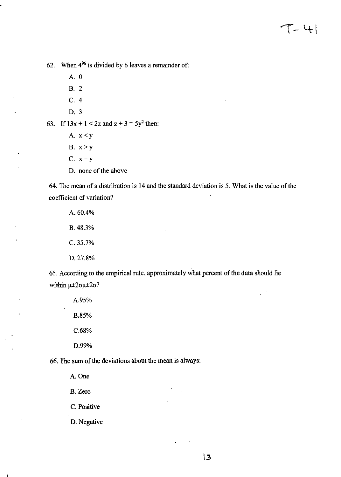62. When  $4^{96}$  is divided by 6 leaves a remainder of:

A. 0

B. 2

C.4

D. 3

63. If  $13x + 1 < 2z$  and  $z + 3 = 5y^2$  then:

- A.  $x < y$
- B.  $x > y$
- C.  $x = y$
- D. none of the above

64. The mean of a distribution is 14 and the standard deviation is 5. What is the value of the coefficient of variation?

A.60.4% B. 48.3% C.3S.7% D.27.8%

65. According to the empirical rule, approximately what percent of the data should lie within  $\mu \pm 2\sigma\mu \pm 2\sigma$ ?

> A.9S% B.8S% C.68% D.99%

66. The sum of the deviations about the mean is always:

A.One

B. Zero

C. Positive

D. Negative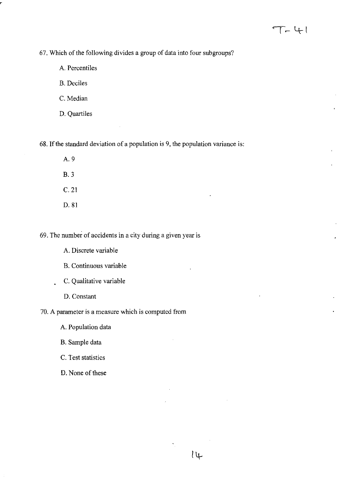67. Which of the following divides a group of data into four subgroups?

A. Percentiles

B. Deciles

C. Median

D. Quartiles

68. If the standard deviation of a population is 9, the population variance is:

- A.9
- B.3
- C.21
- D.81

69. The number of accidents in a city during a given year is

- A. Discrete variable
- B. Continuous variable
- C. Qualitative variable  $\ddot{\phantom{a}}$ 
	- D. Constant

70. A parameter is a measure which is computed from

 $\mu$ 

A. Population data

B. Sample data

C. Test statistics

D. None of these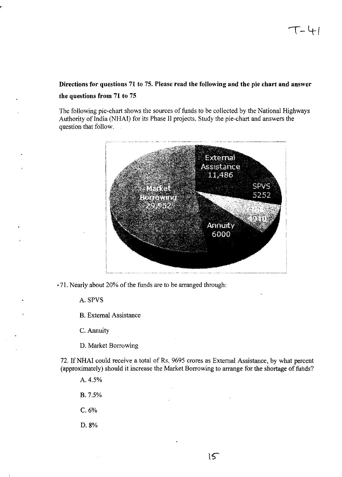# Directions for questions 71 to 75. Please read the following and the pie chart and answer the questions from 71 to 75

The following pie-chart shows the sources of funds to be collected by the National Highways Authority of India (NHAI) for its Phase II projects. Study the pie-chart and answers the question that follow.



·71. Nearly about 20% of the funds are to be arranged through:

A. SPVS

B. External Assistance

C. Annuity

D. Market Borrowing

72. If NHAI could receive a total of Rs. 9695 crores as External Assistance, by what percent (approximately) should it increase the Market Borrowing to arrange for the shortage of funds?

A.4.5%

B. 7.5%

C.6%

D.8%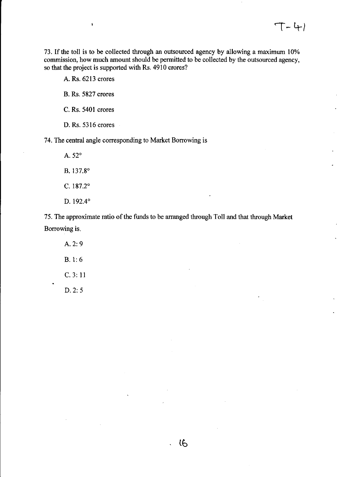73. If the toll is to be collected through an outsourced agency by allowing a maximum 10% commission, how much amount should be pennitted to be collected by the outsourced agency, so that the project is supported with Rs. 4910 crores?

A. Rs. 6213 crores

 $\pmb{\mathsf{I}}$ 

B. Rs. 5827 crores

C. Rs. 5401 crores

O. Rs. 5316 crores

74. The central angle corresponding to Market Borrowing is

A.52° B.137.8° C. 187.2° D. 192.4°

75. The approximate ratio of the funds to be arranged through Toll and that through Market Borrowing is.

**tb** 

A.2:9 B. 1: 6 C. 3: 11 0.2: 5